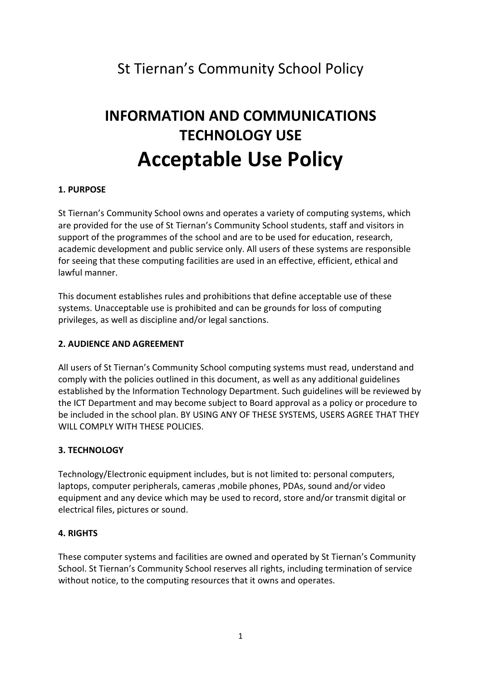# St Tiernan's Community School Policy

# INFORMATION AND COMMUNICATIONS TECHNOLOGY USE Acceptable Use Policy

# 1. PURPOSE

St Tiernan's Community School owns and operates a variety of computing systems, which are provided for the use of St Tiernan's Community School students, staff and visitors in support of the programmes of the school and are to be used for education, research, academic development and public service only. All users of these systems are responsible for seeing that these computing facilities are used in an effective, efficient, ethical and lawful manner.

This document establishes rules and prohibitions that define acceptable use of these systems. Unacceptable use is prohibited and can be grounds for loss of computing privileges, as well as discipline and/or legal sanctions.

#### 2. AUDIENCE AND AGREEMENT

All users of St Tiernan's Community School computing systems must read, understand and comply with the policies outlined in this document, as well as any additional guidelines established by the Information Technology Department. Such guidelines will be reviewed by the ICT Department and may become subject to Board approval as a policy or procedure to be included in the school plan. BY USING ANY OF THESE SYSTEMS, USERS AGREE THAT THEY WILL COMPLY WITH THESE POLICIES.

# 3. TECHNOLOGY

Technology/Electronic equipment includes, but is not limited to: personal computers, laptops, computer peripherals, cameras ,mobile phones, PDAs, sound and/or video equipment and any device which may be used to record, store and/or transmit digital or electrical files, pictures or sound.

# 4. RIGHTS

These computer systems and facilities are owned and operated by St Tiernan's Community School. St Tiernan's Community School reserves all rights, including termination of service without notice, to the computing resources that it owns and operates.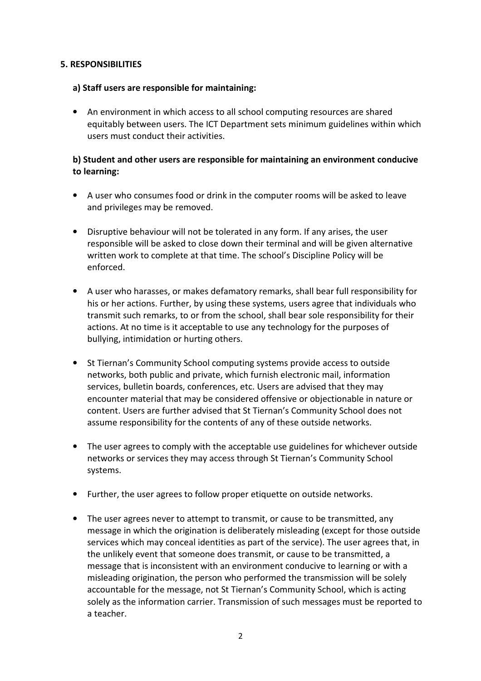### 5. RESPONSIBILITIES

### a) Staff users are responsible for maintaining:

• An environment in which access to all school computing resources are shared equitably between users. The ICT Department sets minimum guidelines within which users must conduct their activities.

# b) Student and other users are responsible for maintaining an environment conducive to learning:

- A user who consumes food or drink in the computer rooms will be asked to leave and privileges may be removed.
- Disruptive behaviour will not be tolerated in any form. If any arises, the user responsible will be asked to close down their terminal and will be given alternative written work to complete at that time. The school's Discipline Policy will be enforced.
- A user who harasses, or makes defamatory remarks, shall bear full responsibility for his or her actions. Further, by using these systems, users agree that individuals who transmit such remarks, to or from the school, shall bear sole responsibility for their actions. At no time is it acceptable to use any technology for the purposes of bullying, intimidation or hurting others.
- St Tiernan's Community School computing systems provide access to outside networks, both public and private, which furnish electronic mail, information services, bulletin boards, conferences, etc. Users are advised that they may encounter material that may be considered offensive or objectionable in nature or content. Users are further advised that St Tiernan's Community School does not assume responsibility for the contents of any of these outside networks.
- The user agrees to comply with the acceptable use guidelines for whichever outside networks or services they may access through St Tiernan's Community School systems.
- Further, the user agrees to follow proper etiquette on outside networks.
- The user agrees never to attempt to transmit, or cause to be transmitted, any message in which the origination is deliberately misleading (except for those outside services which may conceal identities as part of the service). The user agrees that, in the unlikely event that someone does transmit, or cause to be transmitted, a message that is inconsistent with an environment conducive to learning or with a misleading origination, the person who performed the transmission will be solely accountable for the message, not St Tiernan's Community School, which is acting solely as the information carrier. Transmission of such messages must be reported to a teacher.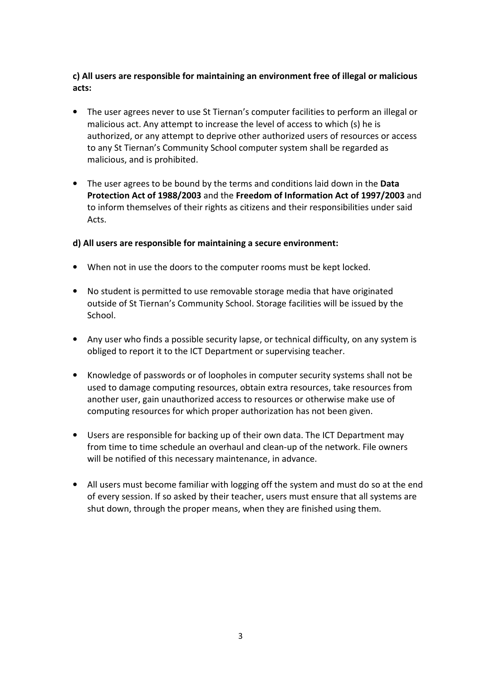# c) All users are responsible for maintaining an environment free of illegal or malicious acts:

- The user agrees never to use St Tiernan's computer facilities to perform an illegal or malicious act. Any attempt to increase the level of access to which (s) he is authorized, or any attempt to deprive other authorized users of resources or access to any St Tiernan's Community School computer system shall be regarded as malicious, and is prohibited.
- The user agrees to be bound by the terms and conditions laid down in the Data Protection Act of 1988/2003 and the Freedom of Information Act of 1997/2003 and to inform themselves of their rights as citizens and their responsibilities under said Acts.

### d) All users are responsible for maintaining a secure environment:

- When not in use the doors to the computer rooms must be kept locked.
- No student is permitted to use removable storage media that have originated outside of St Tiernan's Community School. Storage facilities will be issued by the School.
- Any user who finds a possible security lapse, or technical difficulty, on any system is obliged to report it to the ICT Department or supervising teacher.
- Knowledge of passwords or of loopholes in computer security systems shall not be used to damage computing resources, obtain extra resources, take resources from another user, gain unauthorized access to resources or otherwise make use of computing resources for which proper authorization has not been given.
- Users are responsible for backing up of their own data. The ICT Department may from time to time schedule an overhaul and clean-up of the network. File owners will be notified of this necessary maintenance, in advance.
- All users must become familiar with logging off the system and must do so at the end of every session. If so asked by their teacher, users must ensure that all systems are shut down, through the proper means, when they are finished using them.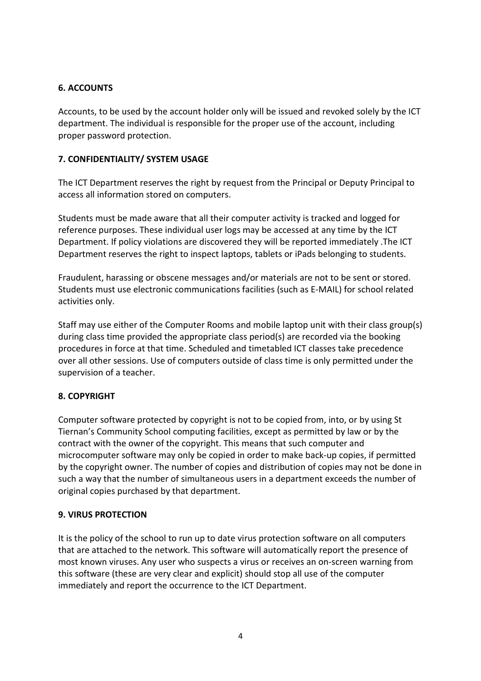# 6. ACCOUNTS

Accounts, to be used by the account holder only will be issued and revoked solely by the ICT department. The individual is responsible for the proper use of the account, including proper password protection.

# 7. CONFIDENTIALITY/ SYSTEM USAGE

The ICT Department reserves the right by request from the Principal or Deputy Principal to access all information stored on computers.

Students must be made aware that all their computer activity is tracked and logged for reference purposes. These individual user logs may be accessed at any time by the ICT Department. If policy violations are discovered they will be reported immediately .The ICT Department reserves the right to inspect laptops, tablets or iPads belonging to students.

Fraudulent, harassing or obscene messages and/or materials are not to be sent or stored. Students must use electronic communications facilities (such as E-MAIL) for school related activities only.

Staff may use either of the Computer Rooms and mobile laptop unit with their class group(s) during class time provided the appropriate class period(s) are recorded via the booking procedures in force at that time. Scheduled and timetabled ICT classes take precedence over all other sessions. Use of computers outside of class time is only permitted under the supervision of a teacher.

# 8. COPYRIGHT

Computer software protected by copyright is not to be copied from, into, or by using St Tiernan's Community School computing facilities, except as permitted by law or by the contract with the owner of the copyright. This means that such computer and microcomputer software may only be copied in order to make back-up copies, if permitted by the copyright owner. The number of copies and distribution of copies may not be done in such a way that the number of simultaneous users in a department exceeds the number of original copies purchased by that department.

# 9. VIRUS PROTECTION

It is the policy of the school to run up to date virus protection software on all computers that are attached to the network. This software will automatically report the presence of most known viruses. Any user who suspects a virus or receives an on-screen warning from this software (these are very clear and explicit) should stop all use of the computer immediately and report the occurrence to the ICT Department.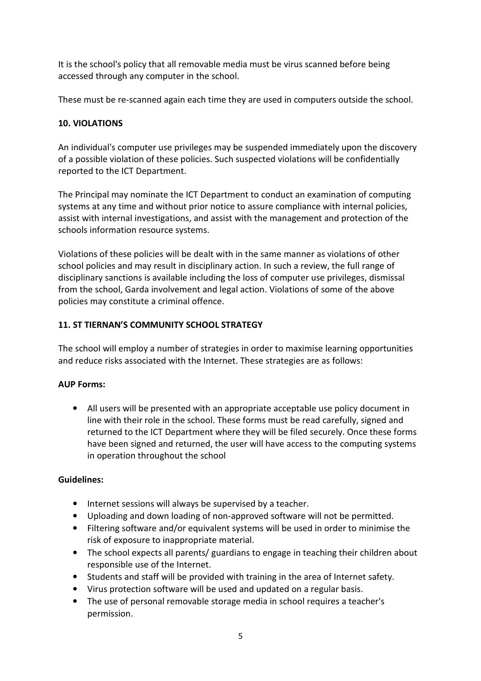It is the school's policy that all removable media must be virus scanned before being accessed through any computer in the school.

These must be re-scanned again each time they are used in computers outside the school.

# 10. VIOLATIONS

An individual's computer use privileges may be suspended immediately upon the discovery of a possible violation of these policies. Such suspected violations will be confidentially reported to the ICT Department.

The Principal may nominate the ICT Department to conduct an examination of computing systems at any time and without prior notice to assure compliance with internal policies, assist with internal investigations, and assist with the management and protection of the schools information resource systems.

Violations of these policies will be dealt with in the same manner as violations of other school policies and may result in disciplinary action. In such a review, the full range of disciplinary sanctions is available including the loss of computer use privileges, dismissal from the school, Garda involvement and legal action. Violations of some of the above policies may constitute a criminal offence.

# 11. ST TIERNAN'S COMMUNITY SCHOOL STRATEGY

The school will employ a number of strategies in order to maximise learning opportunities and reduce risks associated with the Internet. These strategies are as follows:

# AUP Forms:

• All users will be presented with an appropriate acceptable use policy document in line with their role in the school. These forms must be read carefully, signed and returned to the ICT Department where they will be filed securely. Once these forms have been signed and returned, the user will have access to the computing systems in operation throughout the school

# Guidelines:

- Internet sessions will always be supervised by a teacher.
- Uploading and down loading of non-approved software will not be permitted.
- Filtering software and/or equivalent systems will be used in order to minimise the risk of exposure to inappropriate material.
- The school expects all parents/ guardians to engage in teaching their children about responsible use of the Internet.
- Students and staff will be provided with training in the area of Internet safety.
- Virus protection software will be used and updated on a regular basis.
- The use of personal removable storage media in school requires a teacher's permission.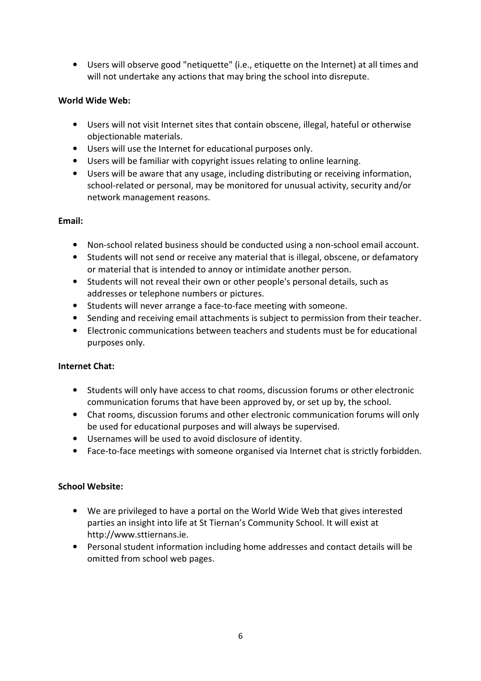• Users will observe good "netiquette" (i.e., etiquette on the Internet) at all times and will not undertake any actions that may bring the school into disrepute.

# World Wide Web:

- Users will not visit Internet sites that contain obscene, illegal, hateful or otherwise objectionable materials.
- Users will use the Internet for educational purposes only.
- Users will be familiar with copyright issues relating to online learning.
- Users will be aware that any usage, including distributing or receiving information, school-related or personal, may be monitored for unusual activity, security and/or network management reasons.

### Email:

- Non-school related business should be conducted using a non-school email account.
- Students will not send or receive any material that is illegal, obscene, or defamatory or material that is intended to annoy or intimidate another person.
- Students will not reveal their own or other people's personal details, such as addresses or telephone numbers or pictures.
- Students will never arrange a face-to-face meeting with someone.
- Sending and receiving email attachments is subject to permission from their teacher.
- Electronic communications between teachers and students must be for educational purposes only.

#### Internet Chat:

- Students will only have access to chat rooms, discussion forums or other electronic communication forums that have been approved by, or set up by, the school.
- Chat rooms, discussion forums and other electronic communication forums will only be used for educational purposes and will always be supervised.
- Usernames will be used to avoid disclosure of identity.
- Face-to-face meetings with someone organised via Internet chat is strictly forbidden.

#### School Website:

- We are privileged to have a portal on the World Wide Web that gives interested parties an insight into life at St Tiernan's Community School. It will exist at http://www.sttiernans.ie.
- Personal student information including home addresses and contact details will be omitted from school web pages.